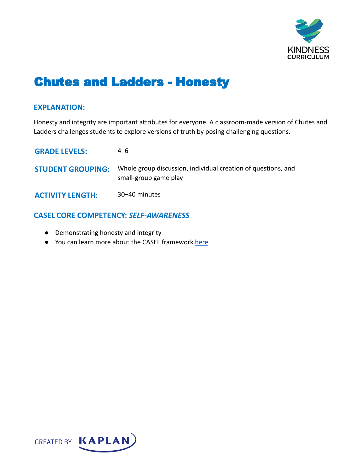

# Chutes and Ladders - Honesty

#### **EXPLANATION:**

Honesty and integrity are important attributes for everyone. A classroom-made version of Chutes and Ladders challenges students to explore versions of truth by posing challenging questions.

| <b>GRADE LEVELS:</b>     | 4–6                                                                                    |
|--------------------------|----------------------------------------------------------------------------------------|
| <b>STUDENT GROUPING:</b> | Whole group discussion, individual creation of questions, and<br>small-group game play |
| <b>ACTIVITY LENGTH:</b>  | 30–40 minutes                                                                          |

### **CASEL CORE COMPETENCY:** *SELF-AWARENESS*

- Demonstrating honesty and integrity
- You can learn more about the CASEL framework [here](https://casel.org/sel-framework/)

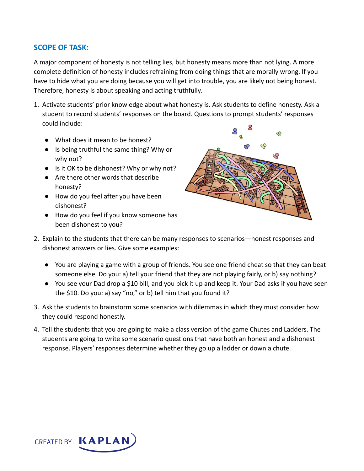## **SCOPE OF TASK:**

A major component of honesty is not telling lies, but honesty means more than not lying. A more complete definition of honesty includes refraining from doing things that are morally wrong. If you have to hide what you are doing because you will get into trouble, you are likely not being honest. Therefore, honesty is about speaking and acting truthfully.

- 1. Activate students' prior knowledge about what honesty is. Ask students to define honesty. Ask a student to record students' responses on the board. Questions to prompt students' responses could include:
	- What does it mean to be honest?
	- Is being truthful the same thing? Why or why not?
	- Is it OK to be dishonest? Why or why not?
	- Are there other words that describe honesty?
	- How do you feel after you have been dishonest?
	- How do you feel if you know someone has been dishonest to you?



- 2. Explain to the students that there can be many responses to scenarios—honest responses and dishonest answers or lies. Give some examples:
	- You are playing a game with a group of friends. You see one friend cheat so that they can beat someone else. Do you: a) tell your friend that they are not playing fairly, or b) say nothing?
	- You see your Dad drop a \$10 bill, and you pick it up and keep it. Your Dad asks if you have seen the \$10. Do you: a) say "no," or b) tell him that you found it?
- 3. Ask the students to brainstorm some scenarios with dilemmas in which they must consider how they could respond honestly.
- 4. Tell the students that you are going to make a class version of the game Chutes and Ladders. The students are going to write some scenario questions that have both an honest and a dishonest response. Players' responses determine whether they go up a ladder or down a chute.